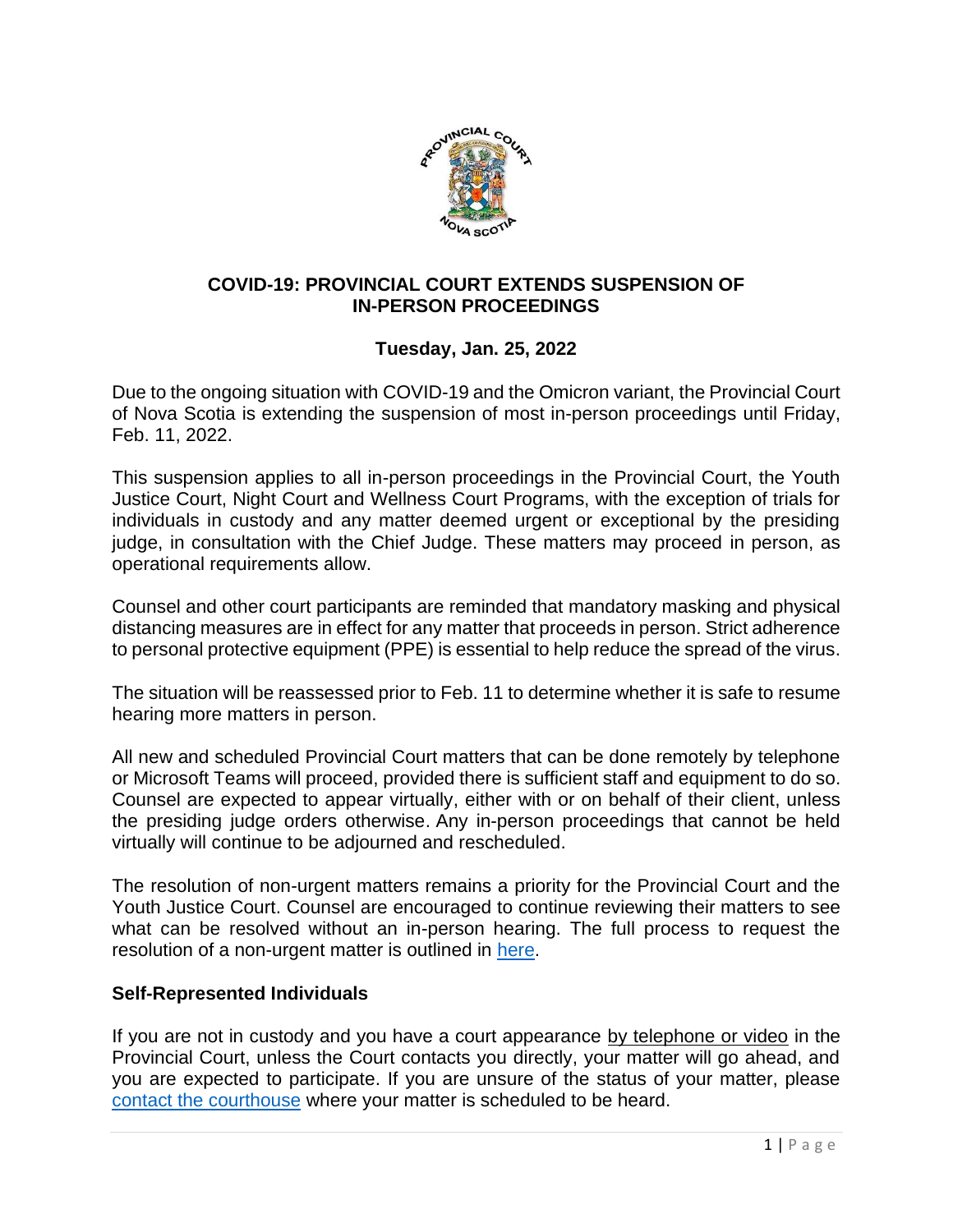

### **COVID-19: PROVINCIAL COURT EXTENDS SUSPENSION OF IN-PERSON PROCEEDINGS**

# **Tuesday, Jan. 25, 2022**

Due to the ongoing situation with COVID-19 and the Omicron variant, the Provincial Court of Nova Scotia is extending the suspension of most in-person proceedings until Friday, Feb. 11, 2022.

This suspension applies to all in-person proceedings in the Provincial Court, the Youth Justice Court, Night Court and Wellness Court Programs, with the exception of trials for individuals in custody and any matter deemed urgent or exceptional by the presiding judge, in consultation with the Chief Judge. These matters may proceed in person, as operational requirements allow.

Counsel and other court participants are reminded that mandatory masking and physical distancing measures are in effect for any matter that proceeds in person. Strict adherence to personal protective equipment (PPE) is essential to help reduce the spread of the virus.

The situation will be reassessed prior to Feb. 11 to determine whether it is safe to resume hearing more matters in person.

All new and scheduled Provincial Court matters that can be done remotely by telephone or Microsoft Teams will proceed, provided there is sufficient staff and equipment to do so. Counsel are expected to appear virtually, either with or on behalf of their client, unless the presiding judge orders otherwise. Any in-person proceedings that cannot be held virtually will continue to be adjourned and rescheduled.

The resolution of non-urgent matters remains a priority for the Provincial Court and the Youth Justice Court. Counsel are encouraged to continue reviewing their matters to see what can be resolved without an in-person hearing. The full process to request the resolution of a non-urgent matter is outlined in [here.](https://www.courts.ns.ca/News_of_Courts/documents/NSPC_Resolution_of_Non_Urgent_Matters_NR_04_09_20.pdf)

## **Self-Represented Individuals**

If you are not in custody and you have a court appearance by telephone or video in the Provincial Court, unless the Court contacts you directly, your matter will go ahead, and you are expected to participate. If you are unsure of the status of your matter, please [contact the courthouse](https://www.courts.ns.ca/Courthouse_Locations/Courthouse_Locations_Map.htm) where your matter is scheduled to be heard.